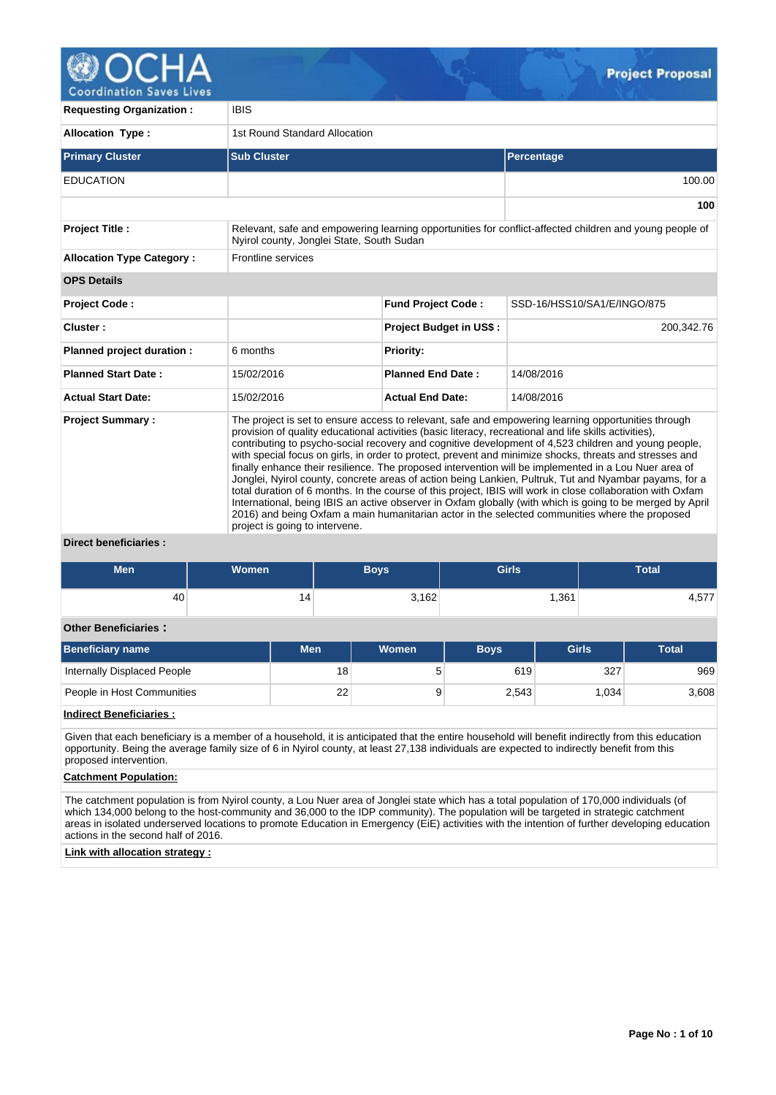

**Coordination Saves Lives** 

| <b>Requesting Organization:</b>  | <b>IBIS</b>                                                                                                                                                                                                                                                                                                                                                                                                                                                                                                                                                                                                                                                                                                                                                                                                                                                                                                                                                                                                         |                                |                             |  |  |  |
|----------------------------------|---------------------------------------------------------------------------------------------------------------------------------------------------------------------------------------------------------------------------------------------------------------------------------------------------------------------------------------------------------------------------------------------------------------------------------------------------------------------------------------------------------------------------------------------------------------------------------------------------------------------------------------------------------------------------------------------------------------------------------------------------------------------------------------------------------------------------------------------------------------------------------------------------------------------------------------------------------------------------------------------------------------------|--------------------------------|-----------------------------|--|--|--|
| <b>Allocation Type:</b>          | 1st Round Standard Allocation                                                                                                                                                                                                                                                                                                                                                                                                                                                                                                                                                                                                                                                                                                                                                                                                                                                                                                                                                                                       |                                |                             |  |  |  |
| <b>Primary Cluster</b>           | <b>Sub Cluster</b>                                                                                                                                                                                                                                                                                                                                                                                                                                                                                                                                                                                                                                                                                                                                                                                                                                                                                                                                                                                                  |                                | Percentage                  |  |  |  |
| <b>EDUCATION</b>                 |                                                                                                                                                                                                                                                                                                                                                                                                                                                                                                                                                                                                                                                                                                                                                                                                                                                                                                                                                                                                                     |                                | 100.00                      |  |  |  |
|                                  |                                                                                                                                                                                                                                                                                                                                                                                                                                                                                                                                                                                                                                                                                                                                                                                                                                                                                                                                                                                                                     |                                | 100                         |  |  |  |
| <b>Project Title:</b>            | Relevant, safe and empowering learning opportunities for conflict-affected children and young people of<br>Nyirol county, Jonglei State, South Sudan                                                                                                                                                                                                                                                                                                                                                                                                                                                                                                                                                                                                                                                                                                                                                                                                                                                                |                                |                             |  |  |  |
| <b>Allocation Type Category:</b> | <b>Frontline services</b>                                                                                                                                                                                                                                                                                                                                                                                                                                                                                                                                                                                                                                                                                                                                                                                                                                                                                                                                                                                           |                                |                             |  |  |  |
| <b>OPS Details</b>               |                                                                                                                                                                                                                                                                                                                                                                                                                                                                                                                                                                                                                                                                                                                                                                                                                                                                                                                                                                                                                     |                                |                             |  |  |  |
| <b>Project Code:</b>             |                                                                                                                                                                                                                                                                                                                                                                                                                                                                                                                                                                                                                                                                                                                                                                                                                                                                                                                                                                                                                     | <b>Fund Project Code:</b>      | SSD-16/HSS10/SA1/E/INGO/875 |  |  |  |
| Cluster:                         |                                                                                                                                                                                                                                                                                                                                                                                                                                                                                                                                                                                                                                                                                                                                                                                                                                                                                                                                                                                                                     | <b>Project Budget in US\$:</b> | 200,342.76                  |  |  |  |
| Planned project duration :       | 6 months                                                                                                                                                                                                                                                                                                                                                                                                                                                                                                                                                                                                                                                                                                                                                                                                                                                                                                                                                                                                            | <b>Priority:</b>               |                             |  |  |  |
| <b>Planned Start Date:</b>       | 15/02/2016                                                                                                                                                                                                                                                                                                                                                                                                                                                                                                                                                                                                                                                                                                                                                                                                                                                                                                                                                                                                          | <b>Planned End Date:</b>       | 14/08/2016                  |  |  |  |
| <b>Actual Start Date:</b>        | 15/02/2016                                                                                                                                                                                                                                                                                                                                                                                                                                                                                                                                                                                                                                                                                                                                                                                                                                                                                                                                                                                                          | <b>Actual End Date:</b>        | 14/08/2016                  |  |  |  |
| <b>Project Summary:</b>          | The project is set to ensure access to relevant, safe and empowering learning opportunities through<br>provision of quality educational activities (basic literacy, recreational and life skills activities),<br>contributing to psycho-social recovery and cognitive development of 4,523 children and young people,<br>with special focus on girls, in order to protect, prevent and minimize shocks, threats and stresses and<br>finally enhance their resilience. The proposed intervention will be implemented in a Lou Nuer area of<br>Jonglei, Nyirol county, concrete areas of action being Lankien, Pultruk, Tut and Nyambar payams, for a<br>total duration of 6 months. In the course of this project, IBIS will work in close collaboration with Oxfam<br>International, being IBIS an active observer in Oxfam globally (with which is going to be merged by April<br>2016) and being Oxfam a main humanitarian actor in the selected communities where the proposed<br>project is going to intervene. |                                |                             |  |  |  |

### **Direct beneficiaries :**

| Men | <b>Women</b> | Boys  | <b>Girls</b> | Total          |
|-----|--------------|-------|--------------|----------------|
| 40  | ∣4           | 3,162 | ,361         | $-77$<br>4,57. |

### **Other Beneficiaries :**

| Beneficiary name            | Men | <b>Women</b> | <b>Boys</b> | Girls    | <b>Total</b> |
|-----------------------------|-----|--------------|-------------|----------|--------------|
| Internally Displaced People | 18  |              | 619         | 327      | 969          |
| People in Host Communities  | 22  |              | 2,543       | ا 034. ا | 3,608        |

## **Indirect Beneficiaries :**

Given that each beneficiary is a member of a household, it is anticipated that the entire household will benefit indirectly from this education opportunity. Being the average family size of 6 in Nyirol county, at least 27,138 individuals are expected to indirectly benefit from this proposed intervention.

## **Catchment Population:**

The catchment population is from Nyirol county, a Lou Nuer area of Jonglei state which has a total population of 170,000 individuals (of which 134,000 belong to the host-community and 36,000 to the IDP community). The population will be targeted in strategic catchment areas in isolated underserved locations to promote Education in Emergency (EiE) activities with the intention of further developing education actions in the second half of 2016.

## **Link with allocation strategy :**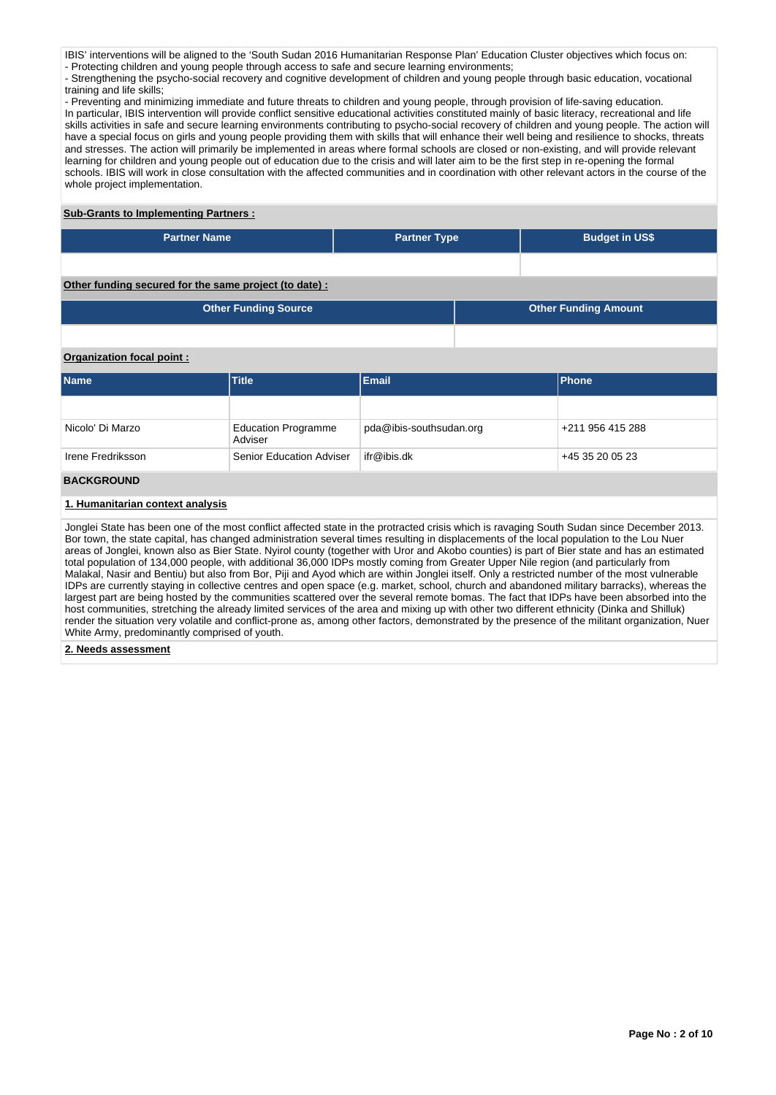IBIS' interventions will be aligned to the 'South Sudan 2016 Humanitarian Response Plan' Education Cluster objectives which focus on: - Protecting children and young people through access to safe and secure learning environments;

- Strengthening the psycho-social recovery and cognitive development of children and young people through basic education, vocational training and life skills;

- Preventing and minimizing immediate and future threats to children and young people, through provision of life-saving education. In particular, IBIS intervention will provide conflict sensitive educational activities constituted mainly of basic literacy, recreational and life skills activities in safe and secure learning environments contributing to psycho-social recovery of children and young people. The action will have a special focus on girls and young people providing them with skills that will enhance their well being and resilience to shocks, threats and stresses. The action will primarily be implemented in areas where formal schools are closed or non-existing, and will provide relevant learning for children and young people out of education due to the crisis and will later aim to be the first step in re-opening the formal schools. IBIS will work in close consultation with the affected communities and in coordination with other relevant actors in the course of the whole project implementation.

## **Sub-Grants to Implementing Partners :**

| <b>Partner Name</b>                                   | <b>Partner Type</b> | <b>Budget in US\$</b> |
|-------------------------------------------------------|---------------------|-----------------------|
|                                                       |                     |                       |
| Other funding secured for the same project (to date): |                     |                       |

| <b>Other Funding Source</b> | <b>Other Funding Amount</b> |
|-----------------------------|-----------------------------|
|                             |                             |

## **Organization focal point :**

| <b>Name</b>       | <b>Title</b>                          | <b>Email</b>            | Phone            |
|-------------------|---------------------------------------|-------------------------|------------------|
|                   |                                       |                         |                  |
| Nicolo' Di Marzo  | <b>Education Programme</b><br>Adviser | pda@ibis-southsudan.org | +211 956 415 288 |
| Irene Fredriksson | <b>Senior Education Adviser</b>       | ifr@ibis.dk             | +45 35 20 05 23  |
| <b>BACKGROUND</b> |                                       |                         |                  |

### **1. Humanitarian context analysis**

Jonglei State has been one of the most conflict affected state in the protracted crisis which is ravaging South Sudan since December 2013. Bor town, the state capital, has changed administration several times resulting in displacements of the local population to the Lou Nuer areas of Jonglei, known also as Bier State. Nyirol county (together with Uror and Akobo counties) is part of Bier state and has an estimated total population of 134,000 people, with additional 36,000 IDPs mostly coming from Greater Upper Nile region (and particularly from Malakal, Nasir and Bentiu) but also from Bor, Piji and Ayod which are within Jonglei itself. Only a restricted number of the most vulnerable IDPs are currently staying in collective centres and open space (e.g. market, school, church and abandoned military barracks), whereas the largest part are being hosted by the communities scattered over the several remote bomas. The fact that IDPs have been absorbed into the host communities, stretching the already limited services of the area and mixing up with other two different ethnicity (Dinka and Shilluk) render the situation very volatile and conflict-prone as, among other factors, demonstrated by the presence of the militant organization, Nuer White Army, predominantly comprised of youth.

### **2. Needs assessment**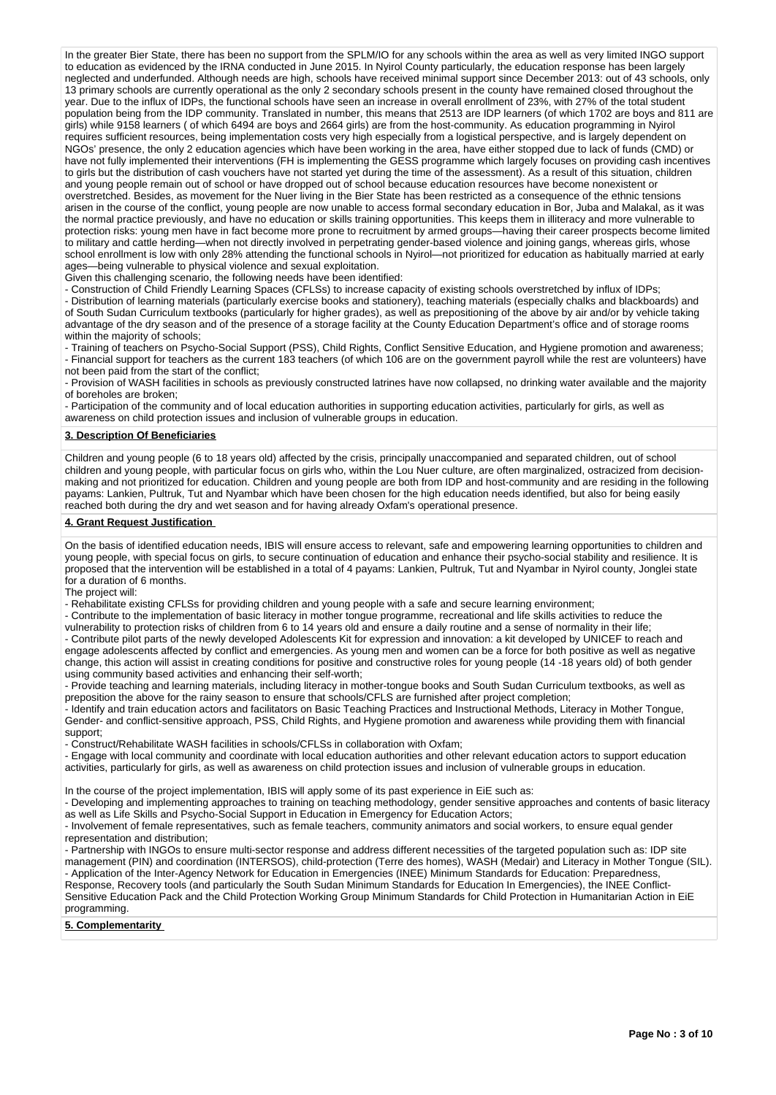In the greater Bier State, there has been no support from the SPLM/IO for any schools within the area as well as very limited INGO support to education as evidenced by the IRNA conducted in June 2015. In Nyirol County particularly, the education response has been largely neglected and underfunded. Although needs are high, schools have received minimal support since December 2013: out of 43 schools, only 13 primary schools are currently operational as the only 2 secondary schools present in the county have remained closed throughout the year. Due to the influx of IDPs, the functional schools have seen an increase in overall enrollment of 23%, with 27% of the total student population being from the IDP community. Translated in number, this means that 2513 are IDP learners (of which 1702 are boys and 811 are girls) while 9158 learners ( of which 6494 are boys and 2664 girls) are from the host-community. As education programming in Nyirol requires sufficient resources, being implementation costs very high especially from a logistical perspective, and is largely dependent on NGOs' presence, the only 2 education agencies which have been working in the area, have either stopped due to lack of funds (CMD) or have not fully implemented their interventions (FH is implementing the GESS programme which largely focuses on providing cash incentives to girls but the distribution of cash vouchers have not started yet during the time of the assessment). As a result of this situation, children and young people remain out of school or have dropped out of school because education resources have become nonexistent or overstretched. Besides, as movement for the Nuer living in the Bier State has been restricted as a consequence of the ethnic tensions arisen in the course of the conflict, young people are now unable to access formal secondary education in Bor, Juba and Malakal, as it was the normal practice previously, and have no education or skills training opportunities. This keeps them in illiteracy and more vulnerable to protection risks: young men have in fact become more prone to recruitment by armed groups—having their career prospects become limited to military and cattle herding—when not directly involved in perpetrating gender-based violence and joining gangs, whereas girls, whose school enrollment is low with only 28% attending the functional schools in Nyirol—not prioritized for education as habitually married at early ages—being vulnerable to physical violence and sexual exploitation.

Given this challenging scenario, the following needs have been identified:

- Construction of Child Friendly Learning Spaces (CFLSs) to increase capacity of existing schools overstretched by influx of IDPs; - Distribution of learning materials (particularly exercise books and stationery), teaching materials (especially chalks and blackboards) and of South Sudan Curriculum textbooks (particularly for higher grades), as well as prepositioning of the above by air and/or by vehicle taking advantage of the dry season and of the presence of a storage facility at the County Education Department's office and of storage rooms within the majority of schools;

- Training of teachers on Psycho-Social Support (PSS), Child Rights, Conflict Sensitive Education, and Hygiene promotion and awareness; - Financial support for teachers as the current 183 teachers (of which 106 are on the government payroll while the rest are volunteers) have not been paid from the start of the conflict;

- Provision of WASH facilities in schools as previously constructed latrines have now collapsed, no drinking water available and the majority of boreholes are broken;

- Participation of the community and of local education authorities in supporting education activities, particularly for girls, as well as awareness on child protection issues and inclusion of vulnerable groups in education.

### **3. Description Of Beneficiaries**

Children and young people (6 to 18 years old) affected by the crisis, principally unaccompanied and separated children, out of school children and young people, with particular focus on girls who, within the Lou Nuer culture, are often marginalized, ostracized from decisionmaking and not prioritized for education. Children and young people are both from IDP and host-community and are residing in the following payams: Lankien, Pultruk, Tut and Nyambar which have been chosen for the high education needs identified, but also for being easily reached both during the dry and wet season and for having already Oxfam's operational presence.

### **4. Grant Request Justification**

On the basis of identified education needs, IBIS will ensure access to relevant, safe and empowering learning opportunities to children and young people, with special focus on girls, to secure continuation of education and enhance their psycho-social stability and resilience. It is proposed that the intervention will be established in a total of 4 payams: Lankien, Pultruk, Tut and Nyambar in Nyirol county, Jonglei state for a duration of 6 months.

The project will:

- Rehabilitate existing CFLSs for providing children and young people with a safe and secure learning environment;

- Contribute to the implementation of basic literacy in mother tongue programme, recreational and life skills activities to reduce the

vulnerability to protection risks of children from 6 to 14 years old and ensure a daily routine and a sense of normality in their life;

- Contribute pilot parts of the newly developed Adolescents Kit for expression and innovation: a kit developed by UNICEF to reach and engage adolescents affected by conflict and emergencies. As young men and women can be a force for both positive as well as negative change, this action will assist in creating conditions for positive and constructive roles for young people (14 -18 years old) of both gender using community based activities and enhancing their self-worth;

- Provide teaching and learning materials, including literacy in mother-tongue books and South Sudan Curriculum textbooks, as well as preposition the above for the rainy season to ensure that schools/CFLS are furnished after project completion;

- Identify and train education actors and facilitators on Basic Teaching Practices and Instructional Methods, Literacy in Mother Tongue, Gender- and conflict-sensitive approach, PSS, Child Rights, and Hygiene promotion and awareness while providing them with financial support;

- Construct/Rehabilitate WASH facilities in schools/CFLSs in collaboration with Oxfam;

- Engage with local community and coordinate with local education authorities and other relevant education actors to support education activities, particularly for girls, as well as awareness on child protection issues and inclusion of vulnerable groups in education.

In the course of the project implementation, IBIS will apply some of its past experience in EiE such as:

- Developing and implementing approaches to training on teaching methodology, gender sensitive approaches and contents of basic literacy as well as Life Skills and Psycho-Social Support in Education in Emergency for Education Actors;

- Involvement of female representatives, such as female teachers, community animators and social workers, to ensure equal gender representation and distribution;

- Partnership with INGOs to ensure multi-sector response and address different necessities of the targeted population such as: IDP site management (PIN) and coordination (INTERSOS), child-protection (Terre des homes), WASH (Medair) and Literacy in Mother Tongue (SIL). - Application of the Inter-Agency Network for Education in Emergencies (INEE) Minimum Standards for Education: Preparedness, Response, Recovery tools (and particularly the South Sudan Minimum Standards for Education In Emergencies), the INEE Conflict-Sensitive Education Pack and the Child Protection Working Group Minimum Standards for Child Protection in Humanitarian Action in EiE programming.

**5. Complementarity**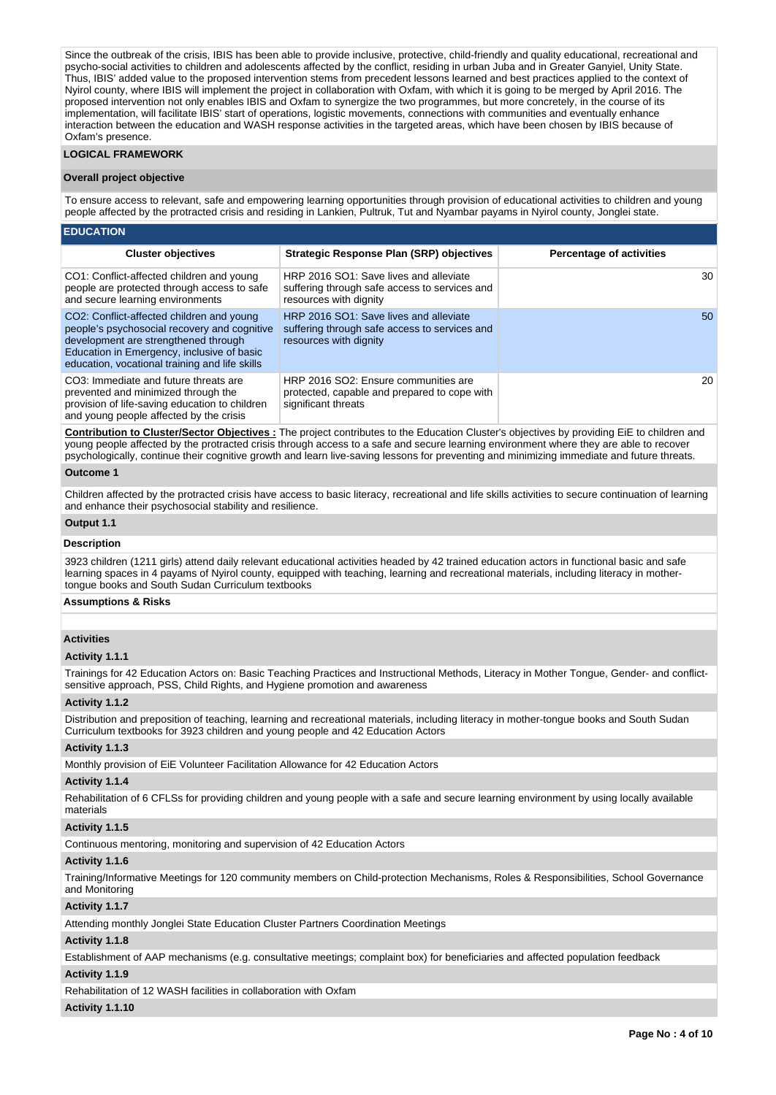Since the outbreak of the crisis, IBIS has been able to provide inclusive, protective, child-friendly and quality educational, recreational and psycho-social activities to children and adolescents affected by the conflict, residing in urban Juba and in Greater Ganyiel, Unity State. Thus, IBIS' added value to the proposed intervention stems from precedent lessons learned and best practices applied to the context of Nyirol county, where IBIS will implement the project in collaboration with Oxfam, with which it is going to be merged by April 2016. The proposed intervention not only enables IBIS and Oxfam to synergize the two programmes, but more concretely, in the course of its implementation, will facilitate IBIS' start of operations, logistic movements, connections with communities and eventually enhance interaction between the education and WASH response activities in the targeted areas, which have been chosen by IBIS because of Oxfam's presence.

### **LOGICAL FRAMEWORK**

### **Overall project objective**

**EDUCATION**

To ensure access to relevant, safe and empowering learning opportunities through provision of educational activities to children and young people affected by the protracted crisis and residing in Lankien, Pultruk, Tut and Nyambar payams in Nyirol county, Jonglei state.

| -------                                                                                                                                                                                                                           |                                                                                                                   |                                 |
|-----------------------------------------------------------------------------------------------------------------------------------------------------------------------------------------------------------------------------------|-------------------------------------------------------------------------------------------------------------------|---------------------------------|
| <b>Cluster objectives</b>                                                                                                                                                                                                         | Strategic Response Plan (SRP) objectives                                                                          | <b>Percentage of activities</b> |
| CO1: Conflict-affected children and young<br>people are protected through access to safe<br>and secure learning environments                                                                                                      | HRP 2016 SO1: Save lives and alleviate<br>suffering through safe access to services and<br>resources with dignity | 30                              |
| CO2: Conflict-affected children and young<br>people's psychosocial recovery and cognitive<br>development are strengthened through<br>Education in Emergency, inclusive of basic<br>education, vocational training and life skills | HRP 2016 SO1: Save lives and alleviate<br>suffering through safe access to services and<br>resources with dignity | 50                              |
| CO3: Immediate and future threats are<br>prevented and minimized through the<br>provision of life-saving education to children<br>and young people affected by the crisis                                                         | HRP 2016 SO2: Ensure communities are<br>protected, capable and prepared to cope with<br>significant threats       | 20                              |

**Contribution to Cluster/Sector Objectives :** The project contributes to the Education Cluster's objectives by providing EiE to children and young people affected by the protracted crisis through access to a safe and secure learning environment where they are able to recover psychologically, continue their cognitive growth and learn live-saving lessons for preventing and minimizing immediate and future threats.

#### **Outcome 1**

Children affected by the protracted crisis have access to basic literacy, recreational and life skills activities to secure continuation of learning and enhance their psychosocial stability and resilience.

# **Output 1.1**

**Description**

3923 children (1211 girls) attend daily relevant educational activities headed by 42 trained education actors in functional basic and safe learning spaces in 4 payams of Nyirol county, equipped with teaching, learning and recreational materials, including literacy in mothertongue books and South Sudan Curriculum textbooks

### **Assumptions & Risks**

### **Activities**

#### **Activity 1.1.1**

Trainings for 42 Education Actors on: Basic Teaching Practices and Instructional Methods, Literacy in Mother Tongue, Gender- and conflictsensitive approach, PSS, Child Rights, and Hygiene promotion and awareness

### **Activity 1.1.2**

Distribution and preposition of teaching, learning and recreational materials, including literacy in mother-tongue books and South Sudan Curriculum textbooks for 3923 children and young people and 42 Education Actors

#### **Activity 1.1.3**

Monthly provision of EiE Volunteer Facilitation Allowance for 42 Education Actors

### **Activity 1.1.4**

Rehabilitation of 6 CFLSs for providing children and young people with a safe and secure learning environment by using locally available materials

#### **Activity 1.1.5**

Continuous mentoring, monitoring and supervision of 42 Education Actors

### **Activity 1.1.6**

Training/Informative Meetings for 120 community members on Child-protection Mechanisms, Roles & Responsibilities, School Governance and Monitoring

#### **Activity 1.1.7**

Attending monthly Jonglei State Education Cluster Partners Coordination Meetings

### **Activity 1.1.8**

Establishment of AAP mechanisms (e.g. consultative meetings; complaint box) for beneficiaries and affected population feedback

### **Activity 1.1.9**

Rehabilitation of 12 WASH facilities in collaboration with Oxfam

#### **Activity 1.1.10**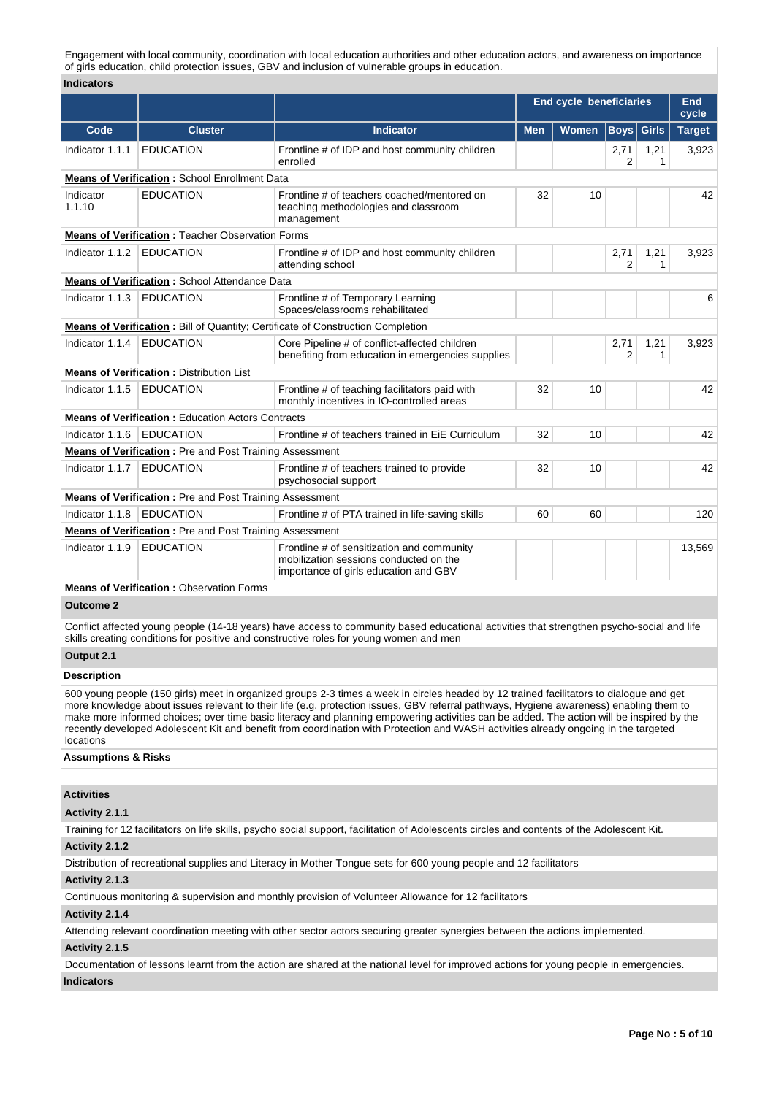Engagement with local community, coordination with local education authorities and other education actors, and awareness on importance of girls education, child protection issues, GBV and inclusion of vulnerable groups in education.

### **Indicators**

|                                                 |                                                                |                                                                                                                               |            | <b>End cycle beneficiaries</b> |                        |                      | End<br>cycle  |
|-------------------------------------------------|----------------------------------------------------------------|-------------------------------------------------------------------------------------------------------------------------------|------------|--------------------------------|------------------------|----------------------|---------------|
| Code                                            | <b>Cluster</b>                                                 | <b>Indicator</b>                                                                                                              | <b>Men</b> | Women                          | Boys                   | <b>Girls</b>         | <b>Target</b> |
| Indicator 1.1.1                                 | <b>EDUCATION</b>                                               | Frontline # of IDP and host community children<br>enrolled                                                                    |            |                                | 2,71<br>2              | 1,21<br>1            | 3,923         |
| Means of Verification: School Enrollment Data   |                                                                |                                                                                                                               |            |                                |                        |                      |               |
| Indicator<br>1.1.10                             | <b>EDUCATION</b>                                               | Frontline # of teachers coached/mentored on<br>teaching methodologies and classroom<br>management                             | 32         | 10                             |                        |                      | 42            |
|                                                 | <b>Means of Verification: Teacher Observation Forms</b>        |                                                                                                                               |            |                                |                        |                      |               |
| Indicator 1.1.2                                 | <b>EDUCATION</b>                                               | Frontline # of IDP and host community children<br>attending school                                                            |            |                                | 2,71<br>$\overline{2}$ | 1,21<br>$\mathbf{1}$ | 3,923         |
|                                                 | <b>Means of Verification: School Attendance Data</b>           |                                                                                                                               |            |                                |                        |                      |               |
| Indicator 1.1.3                                 | <b>EDUCATION</b>                                               | Frontline # of Temporary Learning<br>Spaces/classrooms rehabilitated                                                          |            |                                |                        |                      | 6             |
|                                                 |                                                                | Means of Verification: Bill of Quantity; Certificate of Construction Completion                                               |            |                                |                        |                      |               |
| Indicator 1.1.4                                 | <b>EDUCATION</b>                                               | Core Pipeline # of conflict-affected children<br>benefiting from education in emergencies supplies                            |            |                                | 2,71<br>2              | 1,21<br>1            | 3,923         |
|                                                 | <b>Means of Verification: Distribution List</b>                |                                                                                                                               |            |                                |                        |                      |               |
| Indicator 1.1.5                                 | <b>EDUCATION</b>                                               | Frontline # of teaching facilitators paid with<br>monthly incentives in IO-controlled areas                                   | 32         | 10                             |                        |                      | 42            |
|                                                 | <b>Means of Verification: Education Actors Contracts</b>       |                                                                                                                               |            |                                |                        |                      |               |
| Indicator 1.1.6                                 | <b>EDUCATION</b>                                               | Frontline # of teachers trained in EiE Curriculum                                                                             | 32         | 10                             |                        |                      | 42            |
|                                                 | <b>Means of Verification:</b> Pre and Post Training Assessment |                                                                                                                               |            |                                |                        |                      |               |
| Indicator 1.1.7                                 | EDUCATION                                                      | Frontline # of teachers trained to provide<br>psychosocial support                                                            | 32         | 10                             |                        |                      | 42            |
|                                                 | <b>Means of Verification:</b> Pre and Post Training Assessment |                                                                                                                               |            |                                |                        |                      |               |
| Indicator 1.1.8                                 | <b>EDUCATION</b>                                               | Frontline # of PTA trained in life-saving skills                                                                              | 60         | 60                             |                        |                      | 120           |
|                                                 | <b>Means of Verification:</b> Pre and Post Training Assessment |                                                                                                                               |            |                                |                        |                      |               |
| Indicator 1.1.9                                 | <b>EDUCATION</b>                                               | Frontline # of sensitization and community<br>mobilization sessions conducted on the<br>importance of girls education and GBV |            |                                |                        |                      | 13,569        |
| <b>Means of Verification: Observation Forms</b> |                                                                |                                                                                                                               |            |                                |                        |                      |               |

**Outcome 2**

Conflict affected young people (14-18 years) have access to community based educational activities that strengthen psycho-social and life skills creating conditions for positive and constructive roles for young women and men

## **Output 2.1**

## **Description**

600 young people (150 girls) meet in organized groups 2-3 times a week in circles headed by 12 trained facilitators to dialogue and get more knowledge about issues relevant to their life (e.g. protection issues, GBV referral pathways, Hygiene awareness) enabling them to make more informed choices; over time basic literacy and planning empowering activities can be added. The action will be inspired by the recently developed Adolescent Kit and benefit from coordination with Protection and WASH activities already ongoing in the targeted locations

### **Assumptions & Risks**

### **Activities**

### **Activity 2.1.1**

Training for 12 facilitators on life skills, psycho social support, facilitation of Adolescents circles and contents of the Adolescent Kit.

### **Activity 2.1.2**

Distribution of recreational supplies and Literacy in Mother Tongue sets for 600 young people and 12 facilitators

### **Activity 2.1.3**

Continuous monitoring & supervision and monthly provision of Volunteer Allowance for 12 facilitators

### **Activity 2.1.4**

Attending relevant coordination meeting with other sector actors securing greater synergies between the actions implemented.

### **Activity 2.1.5**

Documentation of lessons learnt from the action are shared at the national level for improved actions for young people in emergencies.

## **Indicators**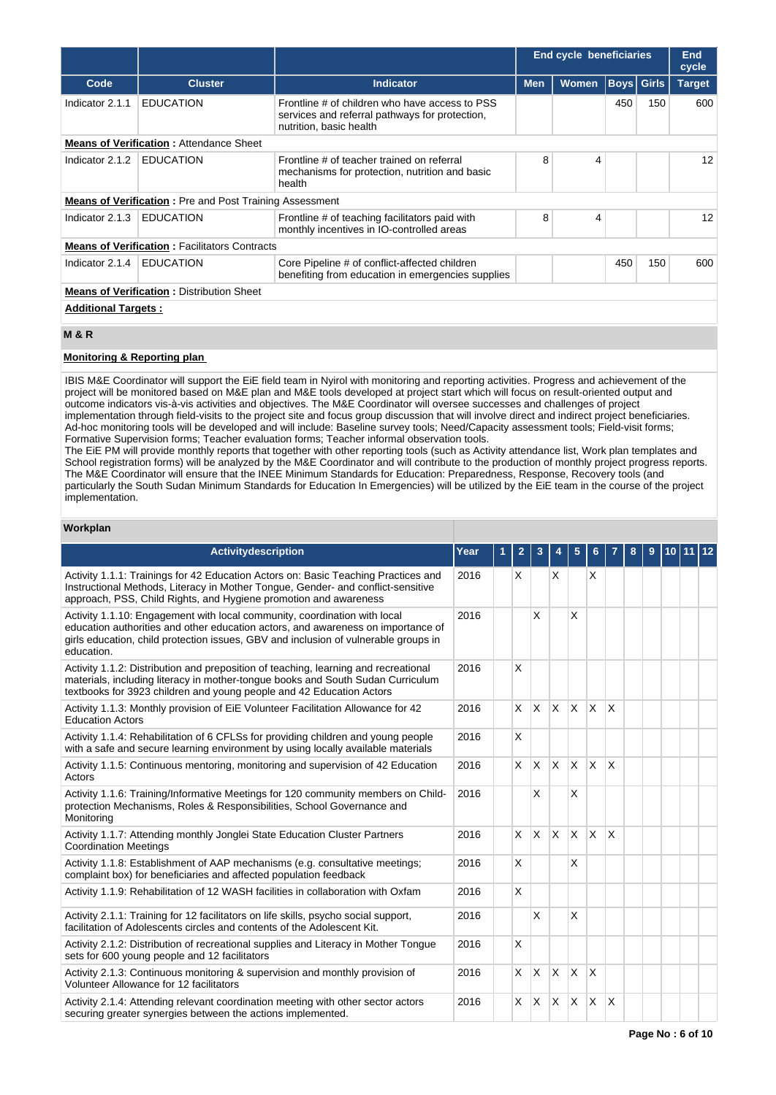|                                                  |                                                                |                                                                                                                             |            | <b>End cycle beneficiaries</b> |     |                   | End<br>cycle  |
|--------------------------------------------------|----------------------------------------------------------------|-----------------------------------------------------------------------------------------------------------------------------|------------|--------------------------------|-----|-------------------|---------------|
| Code                                             | <b>Cluster</b>                                                 | <b>Indicator</b>                                                                                                            | <b>Men</b> | <b>Women</b>                   |     | <b>Boys</b> Girls | <b>Target</b> |
| Indicator 2.1.1                                  | <b>EDUCATION</b>                                               | Frontline # of children who have access to PSS<br>services and referral pathways for protection,<br>nutrition, basic health |            |                                | 450 | 150               | 600           |
|                                                  | <b>Means of Verification: Attendance Sheet</b>                 |                                                                                                                             |            |                                |     |                   |               |
| Indicator 2.1.2                                  | <b>EDUCATION</b>                                               | Frontline # of teacher trained on referral<br>mechanisms for protection, nutrition and basic<br>health                      | 8          | 4                              |     |                   | 12            |
|                                                  | <b>Means of Verification:</b> Pre and Post Training Assessment |                                                                                                                             |            |                                |     |                   |               |
| Indicator 2.1.3                                  | <b>EDUCATION</b>                                               | Frontline # of teaching facilitators paid with<br>monthly incentives in IO-controlled areas                                 | 8          | 4                              |     |                   | 12            |
|                                                  | <b>Means of Verification: Facilitators Contracts</b>           |                                                                                                                             |            |                                |     |                   |               |
| Indicator 2.1.4                                  | <b>EDUCATION</b>                                               | Core Pipeline # of conflict-affected children<br>benefiting from education in emergencies supplies                          |            |                                | 450 | 150               | 600           |
| <b>Means of Verification: Distribution Sheet</b> |                                                                |                                                                                                                             |            |                                |     |                   |               |
| <b>Additional Targets:</b>                       |                                                                |                                                                                                                             |            |                                |     |                   |               |

### **M & R**

## **Monitoring & Reporting plan**

IBIS M&E Coordinator will support the EiE field team in Nyirol with monitoring and reporting activities. Progress and achievement of the project will be monitored based on M&E plan and M&E tools developed at project start which will focus on result-oriented output and outcome indicators vis-à-vis activities and objectives. The M&E Coordinator will oversee successes and challenges of project implementation through field-visits to the project site and focus group discussion that will involve direct and indirect project beneficiaries. Ad-hoc monitoring tools will be developed and will include: Baseline survey tools; Need/Capacity assessment tools; Field-visit forms; Formative Supervision forms; Teacher evaluation forms; Teacher informal observation tools.

The EiE PM will provide monthly reports that together with other reporting tools (such as Activity attendance list, Work plan templates and School registration forms) will be analyzed by the M&E Coordinator and will contribute to the production of monthly project progress reports. The M&E Coordinator will ensure that the INEE Minimum Standards for Education: Preparedness, Response, Recovery tools (and particularly the South Sudan Minimum Standards for Education In Emergencies) will be utilized by the EiE team in the course of the project implementation.

#### **Workplan**

| <b>Activitydescription</b>                                                                                                                                                                                                                                         | Year | 1 | $\mathbf{2}$ | 3            |          | 5            | 6                       |              | 8 | 9 | 10 I | 11 12 |  |
|--------------------------------------------------------------------------------------------------------------------------------------------------------------------------------------------------------------------------------------------------------------------|------|---|--------------|--------------|----------|--------------|-------------------------|--------------|---|---|------|-------|--|
| Activity 1.1.1: Trainings for 42 Education Actors on: Basic Teaching Practices and<br>Instructional Methods, Literacy in Mother Tongue, Gender- and conflict-sensitive<br>approach, PSS, Child Rights, and Hygiene promotion and awareness                         | 2016 |   | X            |              | X        |              | $\times$                |              |   |   |      |       |  |
| Activity 1.1.10: Engagement with local community, coordination with local<br>education authorities and other education actors, and awareness on importance of<br>girls education, child protection issues, GBV and inclusion of vulnerable groups in<br>education. | 2016 |   |              | x            |          | X            |                         |              |   |   |      |       |  |
| Activity 1.1.2: Distribution and preposition of teaching, learning and recreational<br>materials, including literacy in mother-tongue books and South Sudan Curriculum<br>textbooks for 3923 children and young people and 42 Education Actors                     | 2016 |   | X            |              |          |              |                         |              |   |   |      |       |  |
| Activity 1.1.3: Monthly provision of EiE Volunteer Facilitation Allowance for 42<br><b>Education Actors</b>                                                                                                                                                        | 2016 |   | $\mathsf{x}$ | X            | X        | $\mathsf{x}$ | $\times$                | $\mathsf{x}$ |   |   |      |       |  |
| Activity 1.1.4: Rehabilitation of 6 CFLSs for providing children and young people<br>with a safe and secure learning environment by using locally available materials                                                                                              | 2016 |   | $\mathsf{X}$ |              |          |              |                         |              |   |   |      |       |  |
| Activity 1.1.5: Continuous mentoring, monitoring and supervision of 42 Education<br>Actors                                                                                                                                                                         | 2016 |   | <b>X</b>     | $\mathsf{X}$ | $\times$ | X            | $\mathsf{X}$            | $\mathsf{x}$ |   |   |      |       |  |
| Activity 1.1.6: Training/Informative Meetings for 120 community members on Child-<br>protection Mechanisms, Roles & Responsibilities, School Governance and<br>Monitoring                                                                                          | 2016 |   |              | X            |          | X            |                         |              |   |   |      |       |  |
| Activity 1.1.7: Attending monthly Jonglei State Education Cluster Partners<br><b>Coordination Meetings</b>                                                                                                                                                         | 2016 |   | X.           | $\mathsf{x}$ | X        | X            | <sup>X</sup>            | X            |   |   |      |       |  |
| Activity 1.1.8: Establishment of AAP mechanisms (e.g. consultative meetings;<br>complaint box) for beneficiaries and affected population feedback                                                                                                                  | 2016 |   | X            |              |          | X            |                         |              |   |   |      |       |  |
| Activity 1.1.9: Rehabilitation of 12 WASH facilities in collaboration with Oxfam                                                                                                                                                                                   | 2016 |   | $\mathsf{X}$ |              |          |              |                         |              |   |   |      |       |  |
| Activity 2.1.1: Training for 12 facilitators on life skills, psycho social support,<br>facilitation of Adolescents circles and contents of the Adolescent Kit.                                                                                                     | 2016 |   |              | X            |          | X            |                         |              |   |   |      |       |  |
| Activity 2.1.2: Distribution of recreational supplies and Literacy in Mother Tongue<br>sets for 600 young people and 12 facilitators                                                                                                                               | 2016 |   | X            |              |          |              |                         |              |   |   |      |       |  |
| Activity 2.1.3: Continuous monitoring & supervision and monthly provision of<br>Volunteer Allowance for 12 facilitators                                                                                                                                            | 2016 |   | $\mathsf{x}$ | X            | X        | X            | $\overline{\mathsf{x}}$ |              |   |   |      |       |  |
| Activity 2.1.4: Attending relevant coordination meeting with other sector actors<br>securing greater synergies between the actions implemented.                                                                                                                    | 2016 |   | X.           | $\mathsf{x}$ | X        | X            | $\overline{\mathsf{x}}$ | $\mathsf{x}$ |   |   |      |       |  |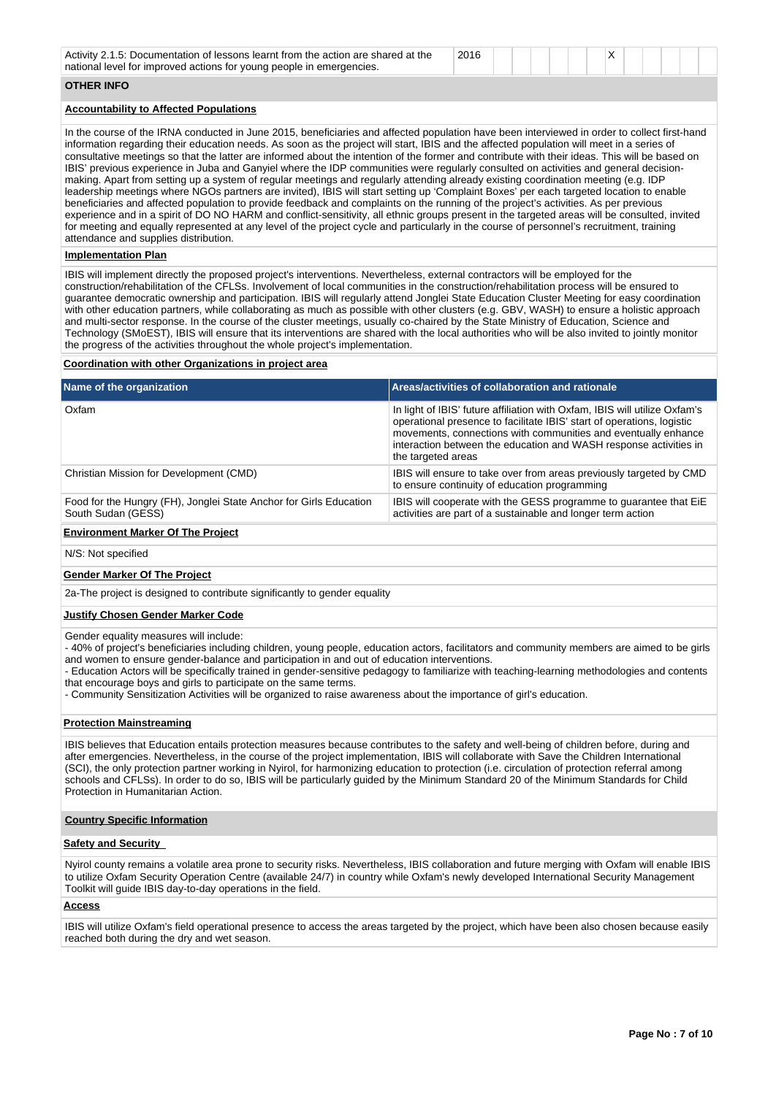| 2016<br>Activity 2.1.5: Documentation of lessons learnt from the action are shared at the<br>national level for improved actions for young people in emergencies. |  |  |
|-------------------------------------------------------------------------------------------------------------------------------------------------------------------|--|--|
|-------------------------------------------------------------------------------------------------------------------------------------------------------------------|--|--|

## **OTHER INFO**

### **Accountability to Affected Populations**

In the course of the IRNA conducted in June 2015, beneficiaries and affected population have been interviewed in order to collect first-hand information regarding their education needs. As soon as the project will start, IBIS and the affected population will meet in a series of consultative meetings so that the latter are informed about the intention of the former and contribute with their ideas. This will be based on IBIS' previous experience in Juba and Ganyiel where the IDP communities were regularly consulted on activities and general decisionmaking. Apart from setting up a system of regular meetings and regularly attending already existing coordination meeting (e.g. IDP leadership meetings where NGOs partners are invited), IBIS will start setting up 'Complaint Boxes' per each targeted location to enable beneficiaries and affected population to provide feedback and complaints on the running of the project's activities. As per previous experience and in a spirit of DO NO HARM and conflict-sensitivity, all ethnic groups present in the targeted areas will be consulted, invited for meeting and equally represented at any level of the project cycle and particularly in the course of personnel's recruitment, training attendance and supplies distribution.

### **Implementation Plan**

IBIS will implement directly the proposed project's interventions. Nevertheless, external contractors will be employed for the construction/rehabilitation of the CFLSs. Involvement of local communities in the construction/rehabilitation process will be ensured to guarantee democratic ownership and participation. IBIS will regularly attend Jonglei State Education Cluster Meeting for easy coordination with other education partners, while collaborating as much as possible with other clusters (e.g. GBV, WASH) to ensure a holistic approach and multi-sector response. In the course of the cluster meetings, usually co-chaired by the State Ministry of Education, Science and Technology (SMoEST), IBIS will ensure that its interventions are shared with the local authorities who will be also invited to jointly monitor the progress of the activities throughout the whole project's implementation.

### **Coordination with other Organizations in project area**

| Name of the organization                                                                 | Areas/activities of collaboration and rationale                                                                                                                                                                                                                                                                   |
|------------------------------------------------------------------------------------------|-------------------------------------------------------------------------------------------------------------------------------------------------------------------------------------------------------------------------------------------------------------------------------------------------------------------|
| Oxfam                                                                                    | In light of IBIS' future affiliation with Oxfam, IBIS will utilize Oxfam's<br>operational presence to facilitate IBIS' start of operations, logistic<br>movements, connections with communities and eventually enhance<br>interaction between the education and WASH response activities in<br>the targeted areas |
| Christian Mission for Development (CMD)                                                  | IBIS will ensure to take over from areas previously targeted by CMD<br>to ensure continuity of education programming                                                                                                                                                                                              |
| Food for the Hungry (FH), Jonglei State Anchor for Girls Education<br>South Sudan (GESS) | IBIS will cooperate with the GESS programme to guarantee that EiE<br>activities are part of a sustainable and longer term action                                                                                                                                                                                  |
|                                                                                          |                                                                                                                                                                                                                                                                                                                   |

### **Environment Marker Of The Project**

N/S: Not specified

### **Gender Marker Of The Project**

2a-The project is designed to contribute significantly to gender equality

#### **Justify Chosen Gender Marker Code**

Gender equality measures will include:

- 40% of project's beneficiaries including children, young people, education actors, facilitators and community members are aimed to be girls and women to ensure gender-balance and participation in and out of education interventions.

- Education Actors will be specifically trained in gender-sensitive pedagogy to familiarize with teaching-learning methodologies and contents that encourage boys and girls to participate on the same terms.

- Community Sensitization Activities will be organized to raise awareness about the importance of girl's education.

#### **Protection Mainstreaming**

IBIS believes that Education entails protection measures because contributes to the safety and well-being of children before, during and after emergencies. Nevertheless, in the course of the project implementation, IBIS will collaborate with Save the Children International (SCI), the only protection partner working in Nyirol, for harmonizing education to protection (i.e. circulation of protection referral among schools and CFLSs). In order to do so, IBIS will be particularly guided by the Minimum Standard 20 of the Minimum Standards for Child Protection in Humanitarian Action.

#### **Country Specific Information**

### **Safety and Security**

Nyirol county remains a volatile area prone to security risks. Nevertheless, IBIS collaboration and future merging with Oxfam will enable IBIS to utilize Oxfam Security Operation Centre (available 24/7) in country while Oxfam's newly developed International Security Management Toolkit will guide IBIS day-to-day operations in the field.

### **Access**

IBIS will utilize Oxfam's field operational presence to access the areas targeted by the project, which have been also chosen because easily reached both during the dry and wet season.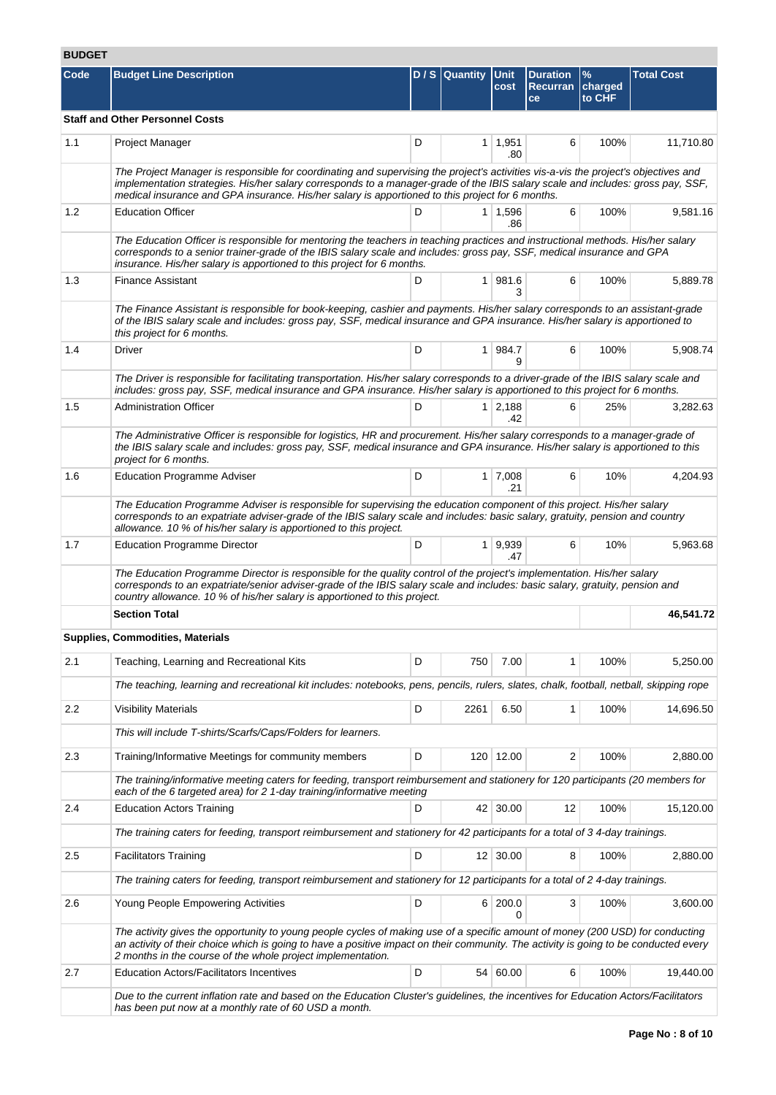# **BUDGET**

| Code | <b>Budget Line Description</b>                                                                                                                                                                                                                                                                                                                                             |   | $D/S$ Quantity | Unit<br>cost          | <b>Duration</b><br><b>Recurran</b><br>ce | $\frac{9}{6}$<br>charged<br>to CHF | <b>Total Cost</b> |  |  |  |  |
|------|----------------------------------------------------------------------------------------------------------------------------------------------------------------------------------------------------------------------------------------------------------------------------------------------------------------------------------------------------------------------------|---|----------------|-----------------------|------------------------------------------|------------------------------------|-------------------|--|--|--|--|
|      | <b>Staff and Other Personnel Costs</b>                                                                                                                                                                                                                                                                                                                                     |   |                |                       |                                          |                                    |                   |  |  |  |  |
| 1.1  | Project Manager                                                                                                                                                                                                                                                                                                                                                            | D |                | $1 \mid 1,951$<br>.80 | 6                                        | 100%                               | 11,710.80         |  |  |  |  |
|      | The Project Manager is responsible for coordinating and supervising the project's activities vis-a-vis the project's objectives and<br>implementation strategies. His/her salary corresponds to a manager-grade of the IBIS salary scale and includes: gross pay, SSF,<br>medical insurance and GPA insurance. His/her salary is apportioned to this project for 6 months. |   |                |                       |                                          |                                    |                   |  |  |  |  |
| 1.2  | <b>Education Officer</b>                                                                                                                                                                                                                                                                                                                                                   | D |                | $1 \mid 1,596$<br>.86 | 6                                        | 100%                               | 9,581.16          |  |  |  |  |
|      | The Education Officer is responsible for mentoring the teachers in teaching practices and instructional methods. His/her salary<br>corresponds to a senior trainer-grade of the IBIS salary scale and includes: gross pay, SSF, medical insurance and GPA<br>insurance. His/her salary is apportioned to this project for 6 months.                                        |   |                |                       |                                          |                                    |                   |  |  |  |  |
| 1.3  | <b>Finance Assistant</b>                                                                                                                                                                                                                                                                                                                                                   | D |                | 1 981.6<br>3          | 6                                        | 100%                               | 5,889.78          |  |  |  |  |
|      | The Finance Assistant is responsible for book-keeping, cashier and payments. His/her salary corresponds to an assistant-grade<br>of the IBIS salary scale and includes: gross pay, SSF, medical insurance and GPA insurance. His/her salary is apportioned to<br>this project for 6 months.                                                                                |   |                |                       |                                          |                                    |                   |  |  |  |  |
| 1.4  | Driver                                                                                                                                                                                                                                                                                                                                                                     | D |                | 1 984.7<br>9          | 6                                        | 100%                               | 5,908.74          |  |  |  |  |
|      | The Driver is responsible for facilitating transportation. His/her salary corresponds to a driver-grade of the IBIS salary scale and<br>includes: gross pay, SSF, medical insurance and GPA insurance. His/her salary is apportioned to this project for 6 months.                                                                                                         |   |                |                       |                                          |                                    |                   |  |  |  |  |
| 1.5  | <b>Administration Officer</b>                                                                                                                                                                                                                                                                                                                                              | D |                | $1 \mid 2,188$<br>.42 | 6                                        | 25%                                | 3,282.63          |  |  |  |  |
|      | The Administrative Officer is responsible for logistics, HR and procurement. His/her salary corresponds to a manager-grade of<br>the IBIS salary scale and includes: gross pay, SSF, medical insurance and GPA insurance. His/her salary is apportioned to this<br>project for 6 months.                                                                                   |   |                |                       |                                          |                                    |                   |  |  |  |  |
| 1.6  | <b>Education Programme Adviser</b>                                                                                                                                                                                                                                                                                                                                         | D |                | $1 \mid 7,008$<br>.21 | 6                                        | 10%                                | 4,204.93          |  |  |  |  |
|      | The Education Programme Adviser is responsible for supervising the education component of this project. His/her salary<br>corresponds to an expatriate adviser-grade of the IBIS salary scale and includes: basic salary, gratuity, pension and country<br>allowance. 10 % of his/her salary is apportioned to this project.                                               |   |                |                       |                                          |                                    |                   |  |  |  |  |
| 1.7  | <b>Education Programme Director</b>                                                                                                                                                                                                                                                                                                                                        | D |                | 1   9,939<br>.47      | 6                                        | 10%                                | 5,963.68          |  |  |  |  |
|      | The Education Programme Director is responsible for the quality control of the project's implementation. His/her salary<br>corresponds to an expatriate/senior adviser-grade of the IBIS salary scale and includes: basic salary, gratuity, pension and<br>country allowance. 10 % of his/her salary is apportioned to this project.                                       |   |                |                       |                                          |                                    |                   |  |  |  |  |
|      | <b>Section Total</b>                                                                                                                                                                                                                                                                                                                                                       |   |                |                       |                                          |                                    | 46,541.72         |  |  |  |  |
|      | Supplies, Commodities, Materials                                                                                                                                                                                                                                                                                                                                           |   |                |                       |                                          |                                    |                   |  |  |  |  |
| 2.1  | Teaching, Learning and Recreational Kits                                                                                                                                                                                                                                                                                                                                   | D | 750            | 7.00                  | 1                                        | 100%                               | 5,250.00          |  |  |  |  |
|      | The teaching, learning and recreational kit includes: notebooks, pens, pencils, rulers, slates, chalk, football, netball, skipping rope                                                                                                                                                                                                                                    |   |                |                       |                                          |                                    |                   |  |  |  |  |
| 2.2  | <b>Visibility Materials</b>                                                                                                                                                                                                                                                                                                                                                | D | 2261           | 6.50                  | 1                                        | 100%                               | 14,696.50         |  |  |  |  |
|      | This will include T-shirts/Scarfs/Caps/Folders for learners.                                                                                                                                                                                                                                                                                                               |   |                |                       |                                          |                                    |                   |  |  |  |  |
| 2.3  | Training/Informative Meetings for community members                                                                                                                                                                                                                                                                                                                        | D |                | 120 12.00             | 2                                        | 100%                               | 2,880.00          |  |  |  |  |
|      | The training/informative meeting caters for feeding, transport reimbursement and stationery for 120 participants (20 members for<br>each of the 6 targeted area) for 2 1-day training/informative meeting                                                                                                                                                                  |   |                |                       |                                          |                                    |                   |  |  |  |  |
| 2.4  | <b>Education Actors Training</b>                                                                                                                                                                                                                                                                                                                                           | D |                | 42 30.00              | 12                                       | 100%                               | 15,120.00         |  |  |  |  |
|      | The training caters for feeding, transport reimbursement and stationery for 42 participants for a total of 34-day trainings.                                                                                                                                                                                                                                               |   |                |                       |                                          |                                    |                   |  |  |  |  |
| 2.5  | <b>Facilitators Training</b>                                                                                                                                                                                                                                                                                                                                               | D |                | $12 \mid 30.00$       | 8                                        | 100%                               | 2,880.00          |  |  |  |  |
|      | The training caters for feeding, transport reimbursement and stationery for 12 participants for a total of 2 4-day trainings.                                                                                                                                                                                                                                              |   |                |                       |                                          |                                    |                   |  |  |  |  |
| 2.6  | Young People Empowering Activities                                                                                                                                                                                                                                                                                                                                         | D |                | 6 200.0<br>0          | 3                                        | 100%                               | 3,600.00          |  |  |  |  |
|      | The activity gives the opportunity to young people cycles of making use of a specific amount of money (200 USD) for conducting<br>an activity of their choice which is going to have a positive impact on their community. The activity is going to be conducted every<br>2 months in the course of the whole project implementation.                                      |   |                |                       |                                          |                                    |                   |  |  |  |  |
| 2.7  | <b>Education Actors/Facilitators Incentives</b>                                                                                                                                                                                                                                                                                                                            | D |                | 54 60.00              | 6                                        | 100%                               | 19,440.00         |  |  |  |  |
|      | Due to the current inflation rate and based on the Education Cluster's guidelines, the incentives for Education Actors/Facilitators<br>has been put now at a monthly rate of 60 USD a month.                                                                                                                                                                               |   |                |                       |                                          |                                    |                   |  |  |  |  |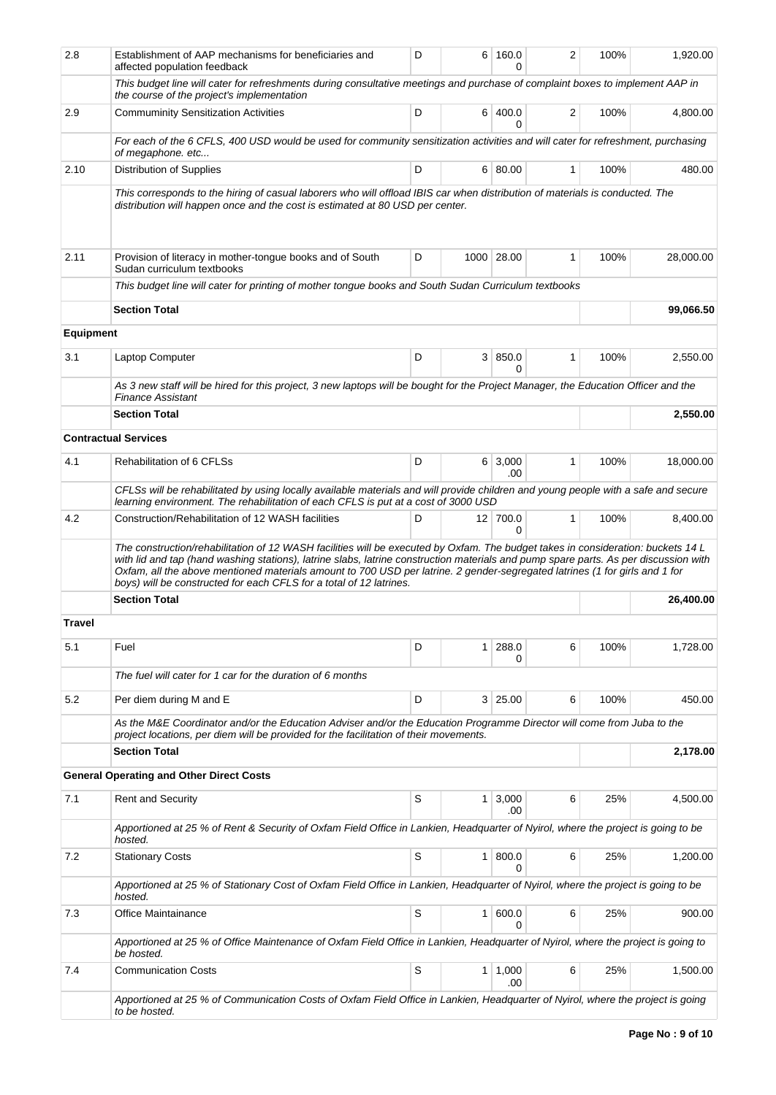| 2.8           | Establishment of AAP mechanisms for beneficiaries and<br>affected population feedback                                                                                                                                                                                                                                                                                                                                                                                          | D | 6              | 160.0<br>0            | 2            | 100% | 1,920.00  |
|---------------|--------------------------------------------------------------------------------------------------------------------------------------------------------------------------------------------------------------------------------------------------------------------------------------------------------------------------------------------------------------------------------------------------------------------------------------------------------------------------------|---|----------------|-----------------------|--------------|------|-----------|
|               | This budget line will cater for refreshments during consultative meetings and purchase of complaint boxes to implement AAP in<br>the course of the project's implementation                                                                                                                                                                                                                                                                                                    |   |                |                       |              |      |           |
| 2.9           | <b>Commuminity Sensitization Activities</b>                                                                                                                                                                                                                                                                                                                                                                                                                                    | D |                | 6 400.0<br>0          | 2            | 100% | 4.800.00  |
|               | For each of the 6 CFLS, 400 USD would be used for community sensitization activities and will cater for refreshment, purchasing<br>of megaphone. etc                                                                                                                                                                                                                                                                                                                           |   |                |                       |              |      |           |
| 2.10          | Distribution of Supplies                                                                                                                                                                                                                                                                                                                                                                                                                                                       | D |                | 6 80.00               | $\mathbf{1}$ | 100% | 480.00    |
|               | This corresponds to the hiring of casual laborers who will offload IBIS car when distribution of materials is conducted. The<br>distribution will happen once and the cost is estimated at 80 USD per center.                                                                                                                                                                                                                                                                  |   |                |                       |              |      |           |
| 2.11          | Provision of literacy in mother-tongue books and of South<br>Sudan curriculum textbooks                                                                                                                                                                                                                                                                                                                                                                                        | D |                | 1000 28.00            | 1            | 100% | 28,000.00 |
|               | This budget line will cater for printing of mother tongue books and South Sudan Curriculum textbooks                                                                                                                                                                                                                                                                                                                                                                           |   |                |                       |              |      |           |
|               | <b>Section Total</b>                                                                                                                                                                                                                                                                                                                                                                                                                                                           |   |                |                       |              |      | 99,066.50 |
| Equipment     |                                                                                                                                                                                                                                                                                                                                                                                                                                                                                |   |                |                       |              |      |           |
| 3.1           | Laptop Computer                                                                                                                                                                                                                                                                                                                                                                                                                                                                | D |                | 3   850.0<br>$\Omega$ | 1            | 100% | 2,550.00  |
|               | As 3 new staff will be hired for this project, 3 new laptops will be bought for the Project Manager, the Education Officer and the<br><b>Finance Assistant</b>                                                                                                                                                                                                                                                                                                                 |   |                |                       |              |      |           |
|               | <b>Section Total</b>                                                                                                                                                                                                                                                                                                                                                                                                                                                           |   |                |                       |              |      | 2,550.00  |
|               | <b>Contractual Services</b>                                                                                                                                                                                                                                                                                                                                                                                                                                                    |   |                |                       |              |      |           |
| 4.1           | Rehabilitation of 6 CFLSs                                                                                                                                                                                                                                                                                                                                                                                                                                                      | D |                | $6 \mid 3,000$<br>.00 | 1            | 100% | 18,000.00 |
|               | CFLSs will be rehabilitated by using locally available materials and will provide children and young people with a safe and secure<br>learning environment. The rehabilitation of each CFLS is put at a cost of 3000 USD                                                                                                                                                                                                                                                       |   |                |                       |              |      |           |
| 4.2           | Construction/Rehabilitation of 12 WASH facilities                                                                                                                                                                                                                                                                                                                                                                                                                              | D |                | 12 700.0<br>0         | $\mathbf{1}$ | 100% | 8,400.00  |
|               | The construction/rehabilitation of 12 WASH facilities will be executed by Oxfam. The budget takes in consideration: buckets 14 L<br>with lid and tap (hand washing stations), latrine slabs, latrine construction materials and pump spare parts. As per discussion with<br>Oxfam, all the above mentioned materials amount to 700 USD per latrine. 2 gender-segregated latrines (1 for girls and 1 for<br>boys) will be constructed for each CFLS for a total of 12 latrines. |   |                |                       |              |      |           |
|               | <b>Section Total</b>                                                                                                                                                                                                                                                                                                                                                                                                                                                           |   |                |                       |              |      | 26,400.00 |
| <b>Travel</b> |                                                                                                                                                                                                                                                                                                                                                                                                                                                                                |   |                |                       |              |      |           |
| 5.1           | Fuel                                                                                                                                                                                                                                                                                                                                                                                                                                                                           | D | 1              | 288.0<br>0            | 6            | 100% | 1,728.00  |
|               | The fuel will cater for 1 car for the duration of 6 months                                                                                                                                                                                                                                                                                                                                                                                                                     |   |                |                       |              |      |           |
| 5.2           | Per diem during M and E                                                                                                                                                                                                                                                                                                                                                                                                                                                        | D |                | 3 25.00               | 6            | 100% | 450.00    |
|               | As the M&E Coordinator and/or the Education Adviser and/or the Education Programme Director will come from Juba to the<br>project locations, per diem will be provided for the facilitation of their movements.                                                                                                                                                                                                                                                                |   |                |                       |              |      |           |
|               | <b>Section Total</b>                                                                                                                                                                                                                                                                                                                                                                                                                                                           |   |                |                       |              |      | 2,178.00  |
|               | <b>General Operating and Other Direct Costs</b>                                                                                                                                                                                                                                                                                                                                                                                                                                |   |                |                       |              |      |           |
| 7.1           | <b>Rent and Security</b>                                                                                                                                                                                                                                                                                                                                                                                                                                                       | S | 1 <sup>1</sup> | 3,000<br>.00          | 6            | 25%  | 4,500.00  |
|               | Apportioned at 25 % of Rent & Security of Oxfam Field Office in Lankien, Headquarter of Nyirol, where the project is going to be<br>hosted.                                                                                                                                                                                                                                                                                                                                    |   |                |                       |              |      |           |
| 7.2           | <b>Stationary Costs</b>                                                                                                                                                                                                                                                                                                                                                                                                                                                        | S | 1 <sup>1</sup> | 800.0<br>0            | 6            | 25%  | 1,200.00  |
|               | Apportioned at 25 % of Stationary Cost of Oxfam Field Office in Lankien, Headquarter of Nyirol, where the project is going to be<br>hosted.                                                                                                                                                                                                                                                                                                                                    |   |                |                       |              |      |           |
| 7.3           | Office Maintainance                                                                                                                                                                                                                                                                                                                                                                                                                                                            | S | 1 <sup>1</sup> | 600.0<br>$\Omega$     | 6            | 25%  | 900.00    |
|               | Apportioned at 25 % of Office Maintenance of Oxfam Field Office in Lankien, Headquarter of Nyirol, where the project is going to<br>be hosted.                                                                                                                                                                                                                                                                                                                                 |   |                |                       |              |      |           |
| 7.4           | <b>Communication Costs</b>                                                                                                                                                                                                                                                                                                                                                                                                                                                     | S |                | $1 \mid 1,000$<br>.00 | 6            | 25%  | 1,500.00  |
|               | Apportioned at 25 % of Communication Costs of Oxfam Field Office in Lankien, Headquarter of Nyirol, where the project is going<br>to be hosted.                                                                                                                                                                                                                                                                                                                                |   |                |                       |              |      |           |